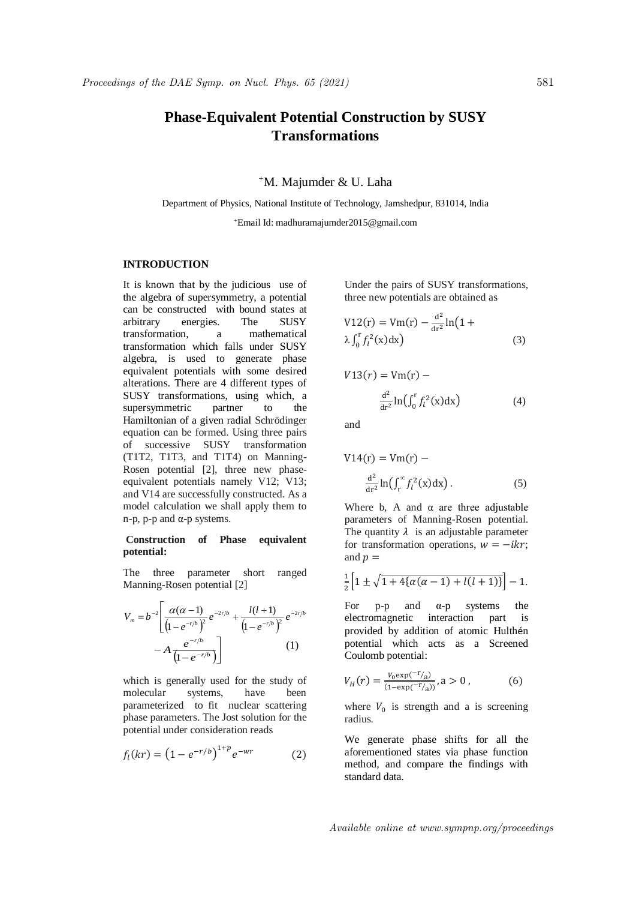# **Phase-Equivalent Potential Construction by SUSY Transformations**

## <sup>+</sup>M. Majumder & U. Laha

Department of Physics, National Institute of Technology, Jamshedpur, 831014, India <sup>+</sup>Email Id: madhuramajumder2015@gmail.com

## **INTRODUCTION**

It is known that by the judicious use of the algebra of supersymmetry, a potential can be constructed with bound states at arbitrary energies. The SUSY transformation, a mathematical transformation which falls under SUSY algebra, is used to generate phase equivalent potentials with some desired alterations. There are 4 different types of SUSY transformations, using which, a supersymmetric partner to the Hamiltonian of a given radial Schrödinger equation can be formed. Using three pairs of successive SUSY transformation (T1T2, T1T3, and T1T4) on Manning-Rosen potential [2], three new phaseequivalent potentials namely V12; V13; and V14 are successfully constructed. As a model calculation we shall apply them to n-p, p-p and α-p systems.

### **Construction of Phase equivalent potential:**

The three parameter short ranged Manning-Rosen potential [2]

$$
V_m = b^{-2} \left[ \frac{\alpha(\alpha - 1)}{\left(1 - e^{-r/b}\right)^2} e^{-2r/b} + \frac{l(l+1)}{\left(1 - e^{-r/b}\right)^2} e^{-2r/b} - A \frac{e^{-r/b}}{\left(1 - e^{-r/b}\right)} \right]
$$
(1)

which is generally used for the study of molecular systems, have been parameterized to fit nuclear scattering phase parameters. The Jost solution for the potential under consideration reads

$$
f_l(kr) = (1 - e^{-r/b})^{1+p} e^{-wr}
$$
 (2)

Under the pairs of SUSY transformations, three new potentials are obtained as

$$
V12(r) = Vm(r) - \frac{d^2}{dr^2} \ln(1 + \lambda \int_0^r f_l^2(x) dx)
$$
 (3)

$$
V13(r) = Vm(r) -
$$

$$
\frac{d^2}{dr^2} \ln \left( \int_0^r f_l^2(x) dx \right) \tag{4}
$$

and

$$
V14(r) = Vm(r) -
$$
  

$$
\frac{d^{2}}{dr^{2}} \ln \left( \int_{r}^{\infty} f_{l}^{2}(x) dx \right).
$$
 (5)

Where b, A and  $\alpha$  are three adjustable parameters of Manning-Rosen potential. The quantity  $\lambda$  is an adjustable parameter for transformation operations,  $w = -ikr$ ; and  $p =$ 

$$
\frac{1}{2}\left[1 \pm \sqrt{1 + 4\{\alpha(\alpha - 1) + l(l+1)\}}\right] - 1.
$$

For p-p and  $\alpha$ -p systems the electromagnetic interaction part is provided by addition of atomic Hulthén potential which acts as a Screened Coulomb potential:

$$
V_H(r) = \frac{V_0 \exp(-r_A)}{(1 - \exp(-r_A))}, a > 0,
$$
 (6)

where  $V_0$  is strength and a is screening radius.

We generate phase shifts for all the aforementioned states via phase function method, and compare the findings with standard data.

Available online at www.sympnp.org/proceedings